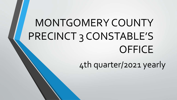# MONTGOMERY COUNTY PRECINCT 3 CONSTABLE'S **OFFICE**

4th quarter/2021 yearly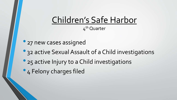### Children's Safe Harbor 4<sup>th</sup> Quarter

- 27 new cases assigned
- 32 active Sexual Assault of a Child investigations
- 25 active Injury to a Child investigations
- 4 Felony charges filed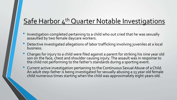### Safe Harbor 4<sup>th</sup> Quarter Notable Investigations

- Investigation completed pertaining to a child who out cried that he was sexually assaulted by two female daycare workers.
- Detective investigated allegations of labor trafficking involving juveniles at a local business.
- Charges for injury to a child were filed against a parent for striking his nine year old son on the face, chest and shoulder causing injury. The assault was in response to the child not performing to the father's standards during a sporting event.
- Current active investigation pertaining to the Continuous Sexual Abuse of a Child. An adult step-father is being investigated for sexually abusing a 13 year old female child numerous times starting when the child was approximately eight years old.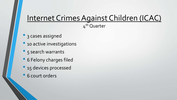## Internet Crimes Against Children (ICAC)

4<sup>th</sup> Quarter

- 3 cases assigned
- 10 active investigations
- 5 search warrants
- <sup>6</sup> Felony charges filed
- 15 devices processed
- <sup>6</sup> court orders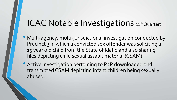# ICAC Notable Investigations (4th Quarter)

- Multi-agency, multi-jurisdictional investigation conducted by Precinct 3 in which a convicted sex offender was soliciting a 15 year old child from the State of Idaho and also sharing files depicting child sexual assault material (CSAM).
- Active investigation pertaining to P2P downloaded and transmitted CSAM depicting infant children being sexually abused.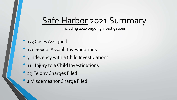# Safe Harbor 2021 Summary

including 2020 ongoing investigations

- 133 Cases Assigned
- 120 Sexual Assault Investigations
- 3 Indecency with a Child Investigations
- 111 Injury to a Child Investigations
- 29 Felony Charges Filed
- 1 Misdemeanor Charge Filed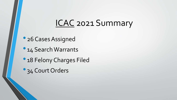# ICAC 2021 Summary

- 26 Cases Assigned
- 14 Search Warrants
- 18 Felony Charges Filed
- <sup>2</sup> 34 Court Orders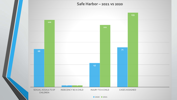